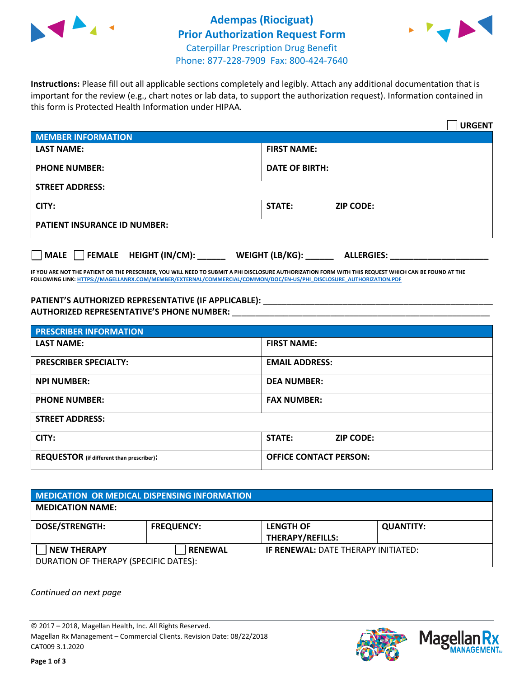

## **Adempas (Riociguat) Prior Authorization Request Form** Caterpillar Prescription Drug Benefit Phone: 877-228-7909 Fax: 800-424-7640



**Instructions:** Please fill out all applicable sections completely and legibly. Attach any additional documentation that is important for the review (e.g., chart notes or lab data, to support the authorization request). Information contained in this form is Protected Health Information under HIPAA.

|                                                | <b>URGENT</b>                        |
|------------------------------------------------|--------------------------------------|
| <b>MEMBER INFORMATION</b>                      |                                      |
| <b>LAST NAME:</b>                              | <b>FIRST NAME:</b>                   |
| <b>PHONE NUMBER:</b>                           | <b>DATE OF BIRTH:</b>                |
| <b>STREET ADDRESS:</b>                         |                                      |
| CITY:                                          | <b>STATE:</b><br><b>ZIP CODE:</b>    |
| <b>PATIENT INSURANCE ID NUMBER:</b>            |                                      |
| $\Box$ FEMALE HEIGHT (IN/CM): _<br><b>MALE</b> | WEIGHT (LB/KG):<br><b>ALLERGIES:</b> |

**IF YOU ARE NOT THE PATIENT OR THE PRESCRIBER, YOU WILL NEED TO SUBMIT A PHI DISCLOSURE AUTHORIZATION FORM WITH THIS REQUEST WHICH CAN BE FOUND AT THE FOLLOWING LINK[: HTTPS://MAGELLANRX.COM/MEMBER/EXTERNAL/COMMERCIAL/COMMON/DOC/EN-US/PHI\\_DISCLOSURE\\_AUTHORIZATION.PDF](https://magellanrx.com/member/external/commercial/common/doc/en-us/PHI_Disclosure_Authorization.pdf)**

PATIENT'S AUTHORIZED REPRESENTATIVE (IF APPLICABLE): \_\_\_\_\_\_\_\_\_\_\_\_\_\_\_\_\_\_\_\_\_\_\_\_\_\_\_ **AUTHORIZED REPRESENTATIVE'S PHONE NUMBER:** \_\_\_\_\_\_\_\_\_\_\_\_\_\_\_\_\_\_\_\_\_\_\_\_\_\_\_\_\_\_\_\_\_\_\_\_\_\_\_\_\_\_\_\_\_\_\_\_\_\_\_\_\_\_\_

| <b>PRESCRIBER INFORMATION</b>             |                               |  |
|-------------------------------------------|-------------------------------|--|
| <b>LAST NAME:</b>                         | <b>FIRST NAME:</b>            |  |
| <b>PRESCRIBER SPECIALTY:</b>              | <b>EMAIL ADDRESS:</b>         |  |
| <b>NPI NUMBER:</b>                        | <b>DEA NUMBER:</b>            |  |
| <b>PHONE NUMBER:</b>                      | <b>FAX NUMBER:</b>            |  |
| <b>STREET ADDRESS:</b>                    |                               |  |
| CITY:                                     | STATE:<br><b>ZIP CODE:</b>    |  |
| REQUESTOR (if different than prescriber): | <b>OFFICE CONTACT PERSON:</b> |  |

| <b>MEDICATION OR MEDICAL DISPENSING INFORMATION</b> |                   |                                            |                  |  |  |
|-----------------------------------------------------|-------------------|--------------------------------------------|------------------|--|--|
| <b>MEDICATION NAME:</b>                             |                   |                                            |                  |  |  |
| <b>DOSE/STRENGTH:</b>                               | <b>FREQUENCY:</b> | <b>LENGTH OF</b>                           | <b>QUANTITY:</b> |  |  |
|                                                     |                   | <b>THERAPY/REFILLS:</b>                    |                  |  |  |
| <b>NEW THERAPY</b>                                  | <b>RENEWAL</b>    | <b>IF RENEWAL: DATE THERAPY INITIATED:</b> |                  |  |  |
| DURATION OF THERAPY (SPECIFIC DATES):               |                   |                                            |                  |  |  |

*Continued on next page*

© 2017 – 2018, Magellan Health, Inc. All Rights Reserved. Magellan Rx Management – Commercial Clients. Revision Date: 08/22/2018 CAT009 3.1.2020



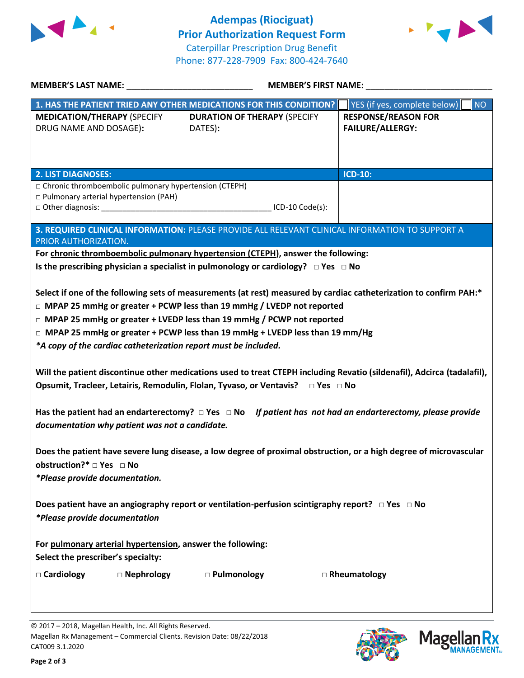



| MEMBER'S LAST NAME: NAME:                                                                                                                                                                                                                                                                                                                                                                                                                                                                                                                                                                                                                                                                                | MEMBER'S FIRST NAME:                                                                            |                                                       |  |  |
|----------------------------------------------------------------------------------------------------------------------------------------------------------------------------------------------------------------------------------------------------------------------------------------------------------------------------------------------------------------------------------------------------------------------------------------------------------------------------------------------------------------------------------------------------------------------------------------------------------------------------------------------------------------------------------------------------------|-------------------------------------------------------------------------------------------------|-------------------------------------------------------|--|--|
|                                                                                                                                                                                                                                                                                                                                                                                                                                                                                                                                                                                                                                                                                                          | 1. HAS THE PATIENT TRIED ANY OTHER MEDICATIONS FOR THIS CONDITION?                              | YES (if yes, complete below)<br><b>NO</b>             |  |  |
| <b>MEDICATION/THERAPY (SPECIFY</b><br>DRUG NAME AND DOSAGE):                                                                                                                                                                                                                                                                                                                                                                                                                                                                                                                                                                                                                                             | <b>DURATION OF THERAPY (SPECIFY</b><br>DATES):                                                  | <b>RESPONSE/REASON FOR</b><br><b>FAILURE/ALLERGY:</b> |  |  |
| <b>2. LIST DIAGNOSES:</b>                                                                                                                                                                                                                                                                                                                                                                                                                                                                                                                                                                                                                                                                                |                                                                                                 | <b>ICD-10:</b>                                        |  |  |
| □ Chronic thromboembolic pulmonary hypertension (CTEPH)<br>□ Pulmonary arterial hypertension (PAH)                                                                                                                                                                                                                                                                                                                                                                                                                                                                                                                                                                                                       | ICD-10 Code(s):                                                                                 |                                                       |  |  |
| PRIOR AUTHORIZATION.                                                                                                                                                                                                                                                                                                                                                                                                                                                                                                                                                                                                                                                                                     | 3. REQUIRED CLINICAL INFORMATION: PLEASE PROVIDE ALL RELEVANT CLINICAL INFORMATION TO SUPPORT A |                                                       |  |  |
|                                                                                                                                                                                                                                                                                                                                                                                                                                                                                                                                                                                                                                                                                                          | For chronic thromboembolic pulmonary hypertension (CTEPH), answer the following:                |                                                       |  |  |
|                                                                                                                                                                                                                                                                                                                                                                                                                                                                                                                                                                                                                                                                                                          | Is the prescribing physician a specialist in pulmonology or cardiology? $\Box$ Yes $\Box$ No    |                                                       |  |  |
| $\Box$ MPAP 25 mmHg or greater + PCWP less than 19 mmHg / LVEDP not reported<br>$\Box$ MPAP 25 mmHg or greater + LVEDP less than 19 mmHg / PCWP not reported<br>□ MPAP 25 mmHg or greater + PCWP less than 19 mmHg + LVEDP less than 19 mm/Hg<br>*A copy of the cardiac catheterization report must be included.<br>Will the patient discontinue other medications used to treat CTEPH including Revatio (sildenafil), Adcirca (tadalafil),<br>Opsumit, Tracleer, Letairis, Remodulin, Flolan, Tyvaso, or Ventavis? □ Yes □ No<br>Has the patient had an endarterectomy? $\Box$ Yes $\Box$ No If patient has not had an endarterectomy, please provide<br>documentation why patient was not a candidate. |                                                                                                 |                                                       |  |  |
| Does the patient have severe lung disease, a low degree of proximal obstruction, or a high degree of microvascular<br>obstruction?* □ Yes □ No<br>*Please provide documentation.                                                                                                                                                                                                                                                                                                                                                                                                                                                                                                                         |                                                                                                 |                                                       |  |  |
| Does patient have an angiography report or ventilation-perfusion scintigraphy report? $\Box$ Yes $\Box$ No<br>*Please provide documentation                                                                                                                                                                                                                                                                                                                                                                                                                                                                                                                                                              |                                                                                                 |                                                       |  |  |
| For pulmonary arterial hypertension, answer the following:<br>Select the prescriber's specialty:                                                                                                                                                                                                                                                                                                                                                                                                                                                                                                                                                                                                         |                                                                                                 |                                                       |  |  |
| □ Cardiology<br>$\square$ Nephrology                                                                                                                                                                                                                                                                                                                                                                                                                                                                                                                                                                                                                                                                     | □ Pulmonology                                                                                   | □ Rheumatology                                        |  |  |